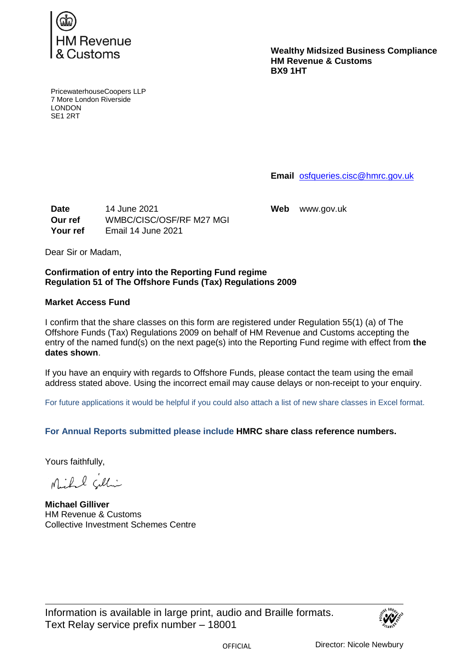

**Wealthy Midsized Business Compliance HM Revenue & Customs BX9 1HT**

PricewaterhouseCoopers LLP 7 More London Riverside LONDON SE1 2RT

**Email** [osfqueries.cisc@hmrc.gov.uk](mailto:osfqueries.cisc@hmrc.gov.uk)

**Date** 14 June 2021 **Web** www.gov.uk **Our ref** WMBC/CISC/OSF/RF M27 MGI **Your ref** Email 14 June 2021

Dear Sir or Madam,

## **Confirmation of entry into the Reporting Fund regime Regulation 51 of The Offshore Funds (Tax) Regulations 2009**

## **Market Access Fund**

I confirm that the share classes on this form are registered under Regulation 55(1) (a) of The Offshore Funds (Tax) Regulations 2009 on behalf of HM Revenue and Customs accepting the entry of the named fund(s) on the next page(s) into the Reporting Fund regime with effect from **the dates shown**.

If you have an enquiry with regards to Offshore Funds, please contact the team using the email address stated above. Using the incorrect email may cause delays or non-receipt to your enquiry.

For future applications it would be helpful if you could also attach a list of new share classes in Excel format.

**For Annual Reports submitted please include HMRC share class reference numbers.**

Yours faithfully,

Mihil cilli

**Michael Gilliver** HM Revenue & Customs Collective Investment Schemes Centre